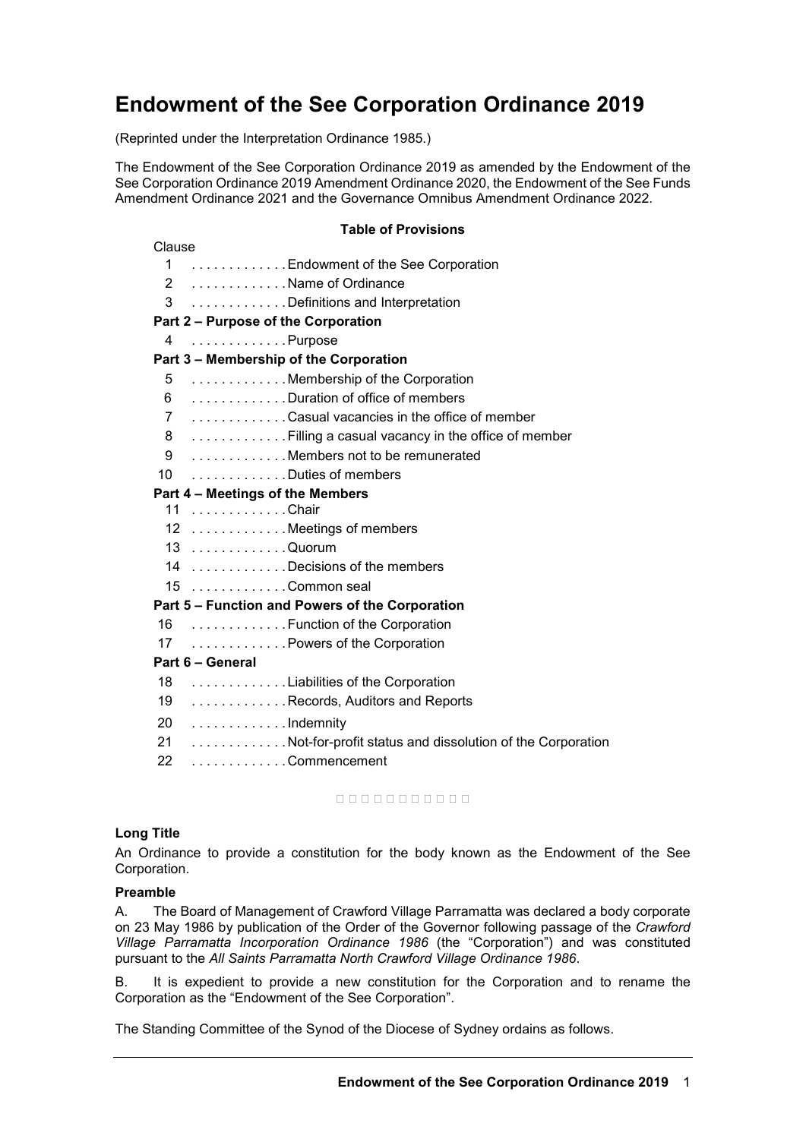# **Endowment of the See Corporation Ordinance 2019**

(Reprinted under the Interpretation Ordinance 1985.)

The Endowment of the See Corporation Ordinance 2019 as amended by the Endowment of the See Corporation Ordinance 2019 Amendment Ordinance 2020, the Endowment of the See Funds Amendment Ordinance 2021 and the Governance Omnibus Amendment Ordinance 2022.

# **Table of Provisions**

| Clause    |                                                          |
|-----------|----------------------------------------------------------|
|           | 1  Endowment of the See Corporation                      |
|           | 2 Name of Ordinance                                      |
|           | 3 Definitions and Interpretation                         |
|           | Part 2 - Purpose of the Corporation                      |
| 4         | Purpose                                                  |
|           | Part 3 – Membership of the Corporation                   |
|           | 5 Membership of the Corporation                          |
|           | 6 Duration of office of members                          |
|           | 7 Casual vacancies in the office of member               |
| 8         | Filling a casual vacancy in the office of member         |
| 9         | Members not to be remunerated                            |
| 10        | Duties of members                                        |
|           | Part 4 - Meetings of the Members                         |
|           | 11 Chair                                                 |
|           | 12 Meetings of members                                   |
|           | 13 Quorum                                                |
|           | 14 Decisions of the members                              |
|           | 15 Common seal                                           |
|           | Part 5 - Function and Powers of the Corporation          |
|           | 16 Function of the Corporation                           |
|           | 17 Powers of the Corporation                             |
|           | Part 6 - General                                         |
|           | 18 Liabilities of the Corporation                        |
| 19        | Records, Auditors and Reports                            |
| <b>20</b> | Indemnity                                                |
| 21        | Not-for-profit status and dissolution of the Corporation |
| 22        | Commencement                                             |

nnnnnnnnnn

# **Long Title**

An Ordinance to provide a constitution for the body known as the Endowment of the See Corporation.

#### **Preamble**

A. The Board of Management of Crawford Village Parramatta was declared a body corporate on 23 May 1986 by publication of the Order of the Governor following passage of the *Crawford Village Parramatta Incorporation Ordinance 1986* (the "Corporation") and was constituted pursuant to the *All Saints Parramatta North Crawford Village Ordinance 1986*.

B. It is expedient to provide a new constitution for the Corporation and to rename the Corporation as the "Endowment of the See Corporation".

The Standing Committee of the Synod of the Diocese of Sydney ordains as follows.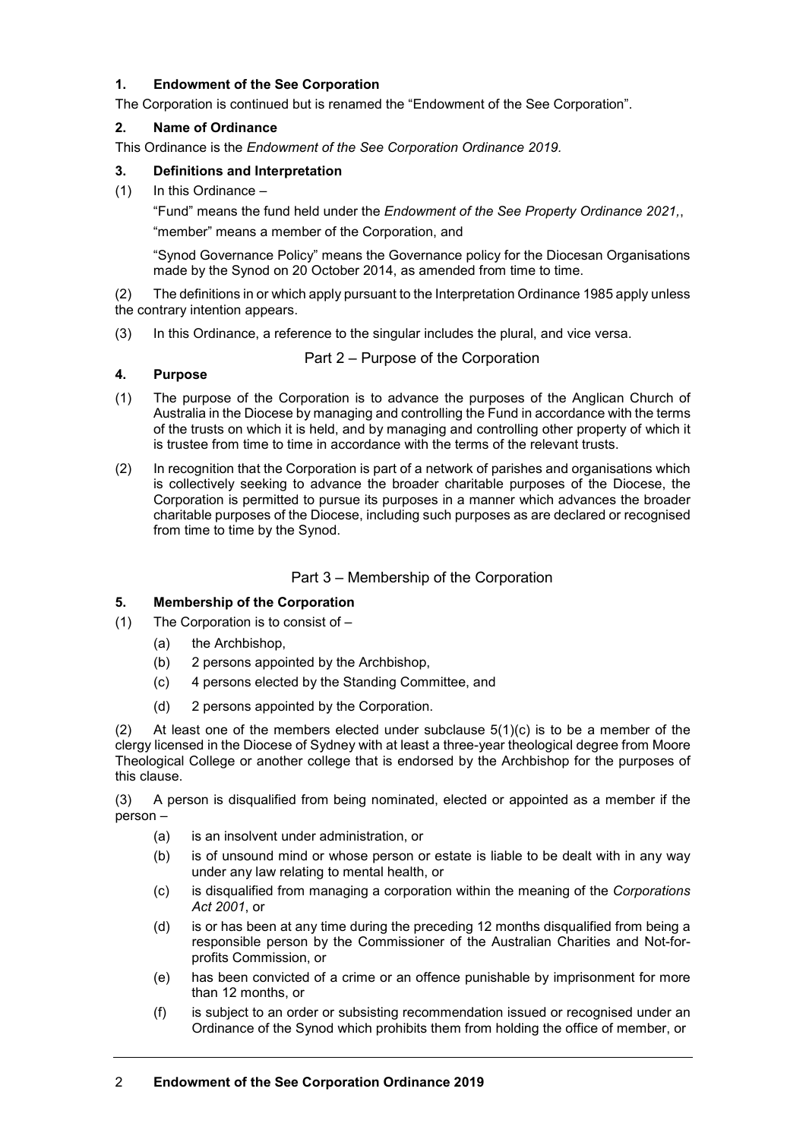# **1. Endowment of the See Corporation**

The Corporation is continued but is renamed the "Endowment of the See Corporation".

#### **2. Name of Ordinance**

This Ordinance is the *Endowment of the See Corporation Ordinance 2019.*

#### **3. Definitions and Interpretation**

(1) In this Ordinance –

"Fund" means the fund held under the *Endowment of the See Property Ordinance 2021,*, "member" means a member of the Corporation, and

"Synod Governance Policy" means the Governance policy for the Diocesan Organisations made by the Synod on 20 October 2014, as amended from time to time.

(2) The definitions in or which apply pursuant to the Interpretation Ordinance 1985 apply unless the contrary intention appears.

(3) In this Ordinance, a reference to the singular includes the plural, and vice versa.

# **4. Purpose**

- Part 2 Purpose of the Corporation
- (1) The purpose of the Corporation is to advance the purposes of the Anglican Church of Australia in the Diocese by managing and controlling the Fund in accordance with the terms of the trusts on which it is held, and by managing and controlling other property of which it is trustee from time to time in accordance with the terms of the relevant trusts.
- (2) In recognition that the Corporation is part of a network of parishes and organisations which is collectively seeking to advance the broader charitable purposes of the Diocese, the Corporation is permitted to pursue its purposes in a manner which advances the broader charitable purposes of the Diocese, including such purposes as are declared or recognised from time to time by the Synod.

# Part 3 – Membership of the Corporation

# **5. Membership of the Corporation**

- (1) The Corporation is to consist of
	- (a) the Archbishop,
	- (b) 2 persons appointed by the Archbishop,
	- (c) 4 persons elected by the Standing Committee, and
	- (d) 2 persons appointed by the Corporation.

(2) At least one of the members elected under subclause  $5(1)(c)$  is to be a member of the clergy licensed in the Diocese of Sydney with at least a three-year theological degree from Moore Theological College or another college that is endorsed by the Archbishop for the purposes of this clause.

(3) A person is disqualified from being nominated, elected or appointed as a member if the person –

- (a) is an insolvent under administration, or
- (b) is of unsound mind or whose person or estate is liable to be dealt with in any way under any law relating to mental health, or
- (c) is disqualified from managing a corporation within the meaning of the *Corporations Act 2001*, or
- (d) is or has been at any time during the preceding 12 months disqualified from being a responsible person by the Commissioner of the Australian Charities and Not-forprofits Commission, or
- (e) has been convicted of a crime or an offence punishable by imprisonment for more than 12 months, or
- (f) is subject to an order or subsisting recommendation issued or recognised under an Ordinance of the Synod which prohibits them from holding the office of member, or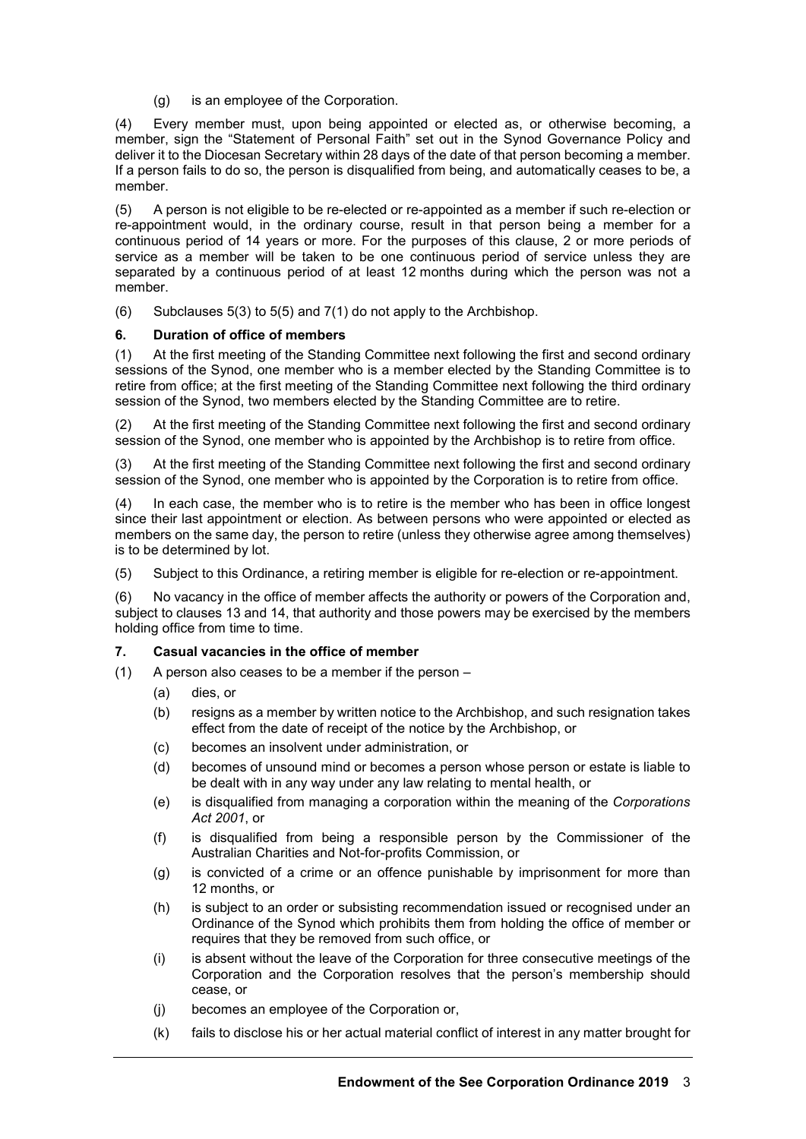(g) is an employee of the Corporation.

(4) Every member must, upon being appointed or elected as, or otherwise becoming, a member, sign the "Statement of Personal Faith" set out in the Synod Governance Policy and deliver it to the Diocesan Secretary within 28 days of the date of that person becoming a member. If a person fails to do so, the person is disqualified from being, and automatically ceases to be, a member.

(5) A person is not eligible to be re-elected or re-appointed as a member if such re-election or re-appointment would, in the ordinary course, result in that person being a member for a continuous period of 14 years or more. For the purposes of this clause, 2 or more periods of service as a member will be taken to be one continuous period of service unless they are separated by a continuous period of at least 12 months during which the person was not a member.

(6) Subclauses 5(3) to 5(5) and 7(1) do not apply to the Archbishop.

# **6. Duration of office of members**

(1) At the first meeting of the Standing Committee next following the first and second ordinary sessions of the Synod, one member who is a member elected by the Standing Committee is to retire from office; at the first meeting of the Standing Committee next following the third ordinary session of the Synod, two members elected by the Standing Committee are to retire.

(2) At the first meeting of the Standing Committee next following the first and second ordinary session of the Synod, one member who is appointed by the Archbishop is to retire from office.

(3) At the first meeting of the Standing Committee next following the first and second ordinary session of the Synod, one member who is appointed by the Corporation is to retire from office.

(4) In each case, the member who is to retire is the member who has been in office longest since their last appointment or election. As between persons who were appointed or elected as members on the same day, the person to retire (unless they otherwise agree among themselves) is to be determined by lot.

(5) Subject to this Ordinance, a retiring member is eligible for re-election or re-appointment.

(6) No vacancy in the office of member affects the authority or powers of the Corporation and, subject to clauses 13 and 14, that authority and those powers may be exercised by the members holding office from time to time.

# **7. Casual vacancies in the office of member**

- (1) A person also ceases to be a member if the person
	- (a) dies, or
	- (b) resigns as a member by written notice to the Archbishop, and such resignation takes effect from the date of receipt of the notice by the Archbishop, or
	- (c) becomes an insolvent under administration, or
	- (d) becomes of unsound mind or becomes a person whose person or estate is liable to be dealt with in any way under any law relating to mental health, or
	- (e) is disqualified from managing a corporation within the meaning of the *Corporations Act 2001*, or
	- (f) is disqualified from being a responsible person by the Commissioner of the Australian Charities and Not-for-profits Commission, or
	- (g) is convicted of a crime or an offence punishable by imprisonment for more than 12 months, or
	- (h) is subject to an order or subsisting recommendation issued or recognised under an Ordinance of the Synod which prohibits them from holding the office of member or requires that they be removed from such office, or
	- (i) is absent without the leave of the Corporation for three consecutive meetings of the Corporation and the Corporation resolves that the person's membership should cease, or
	- (j) becomes an employee of the Corporation or,
	- (k) fails to disclose his or her actual material conflict of interest in any matter brought for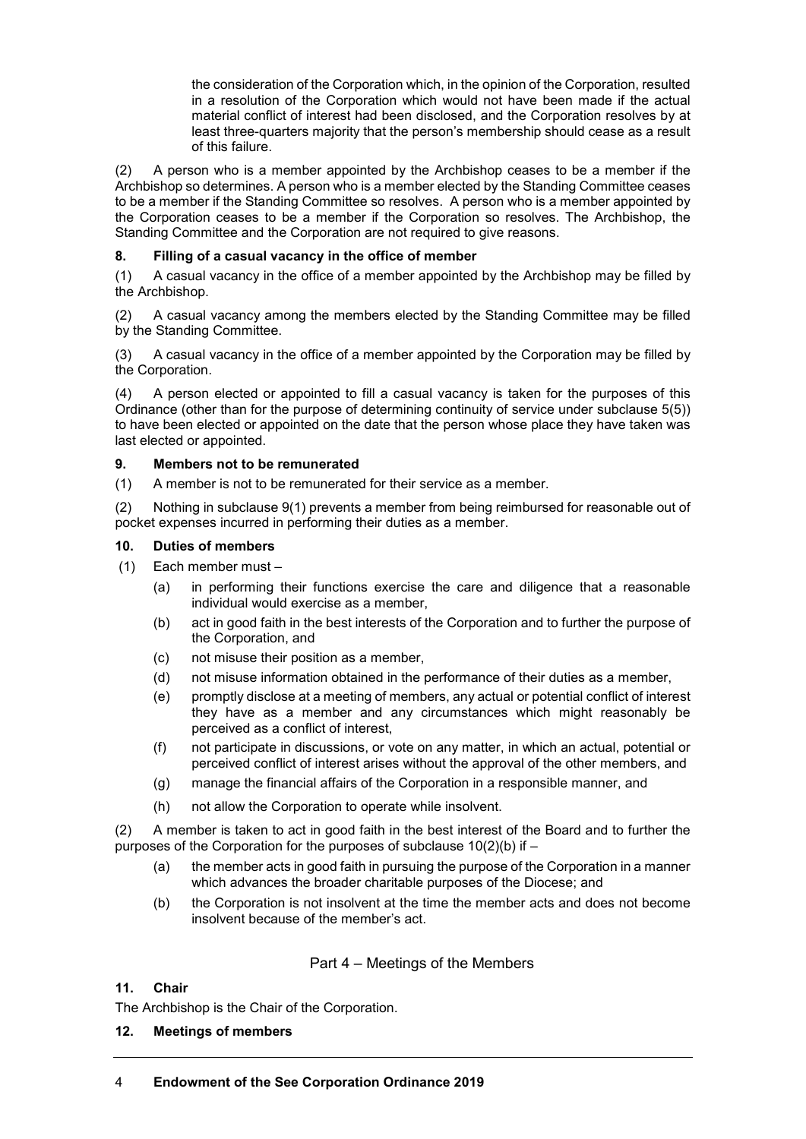the consideration of the Corporation which, in the opinion of the Corporation, resulted in a resolution of the Corporation which would not have been made if the actual material conflict of interest had been disclosed, and the Corporation resolves by at least three-quarters majority that the person's membership should cease as a result of this failure.

(2) A person who is a member appointed by the Archbishop ceases to be a member if the Archbishop so determines. A person who is a member elected by the Standing Committee ceases to be a member if the Standing Committee so resolves. A person who is a member appointed by the Corporation ceases to be a member if the Corporation so resolves. The Archbishop, the Standing Committee and the Corporation are not required to give reasons.

# **8. Filling of a casual vacancy in the office of member**

(1) A casual vacancy in the office of a member appointed by the Archbishop may be filled by the Archbishop.

(2) A casual vacancy among the members elected by the Standing Committee may be filled by the Standing Committee.

(3) A casual vacancy in the office of a member appointed by the Corporation may be filled by the Corporation.

(4) A person elected or appointed to fill a casual vacancy is taken for the purposes of this Ordinance (other than for the purpose of determining continuity of service under subclause 5(5)) to have been elected or appointed on the date that the person whose place they have taken was last elected or appointed.

# **9. Members not to be remunerated**

(1) A member is not to be remunerated for their service as a member.

(2) Nothing in subclause 9(1) prevents a member from being reimbursed for reasonable out of pocket expenses incurred in performing their duties as a member.

# **10. Duties of members**

- (1) Each member must
	- (a) in performing their functions exercise the care and diligence that a reasonable individual would exercise as a member,
	- (b) act in good faith in the best interests of the Corporation and to further the purpose of the Corporation, and
	- (c) not misuse their position as a member,
	- (d) not misuse information obtained in the performance of their duties as a member,
	- (e) promptly disclose at a meeting of members, any actual or potential conflict of interest they have as a member and any circumstances which might reasonably be perceived as a conflict of interest,
	- (f) not participate in discussions, or vote on any matter, in which an actual, potential or perceived conflict of interest arises without the approval of the other members, and
	- (g) manage the financial affairs of the Corporation in a responsible manner, and
	- (h) not allow the Corporation to operate while insolvent.

(2) A member is taken to act in good faith in the best interest of the Board and to further the purposes of the Corporation for the purposes of subclause  $10(2)(b)$  if  $-$ 

- (a) the member acts in good faith in pursuing the purpose of the Corporation in a manner which advances the broader charitable purposes of the Diocese; and
- (b) the Corporation is not insolvent at the time the member acts and does not become insolvent because of the member's act.

# Part 4 – Meetings of the Members

# **11. Chair**

The Archbishop is the Chair of the Corporation.

# **12. Meetings of members**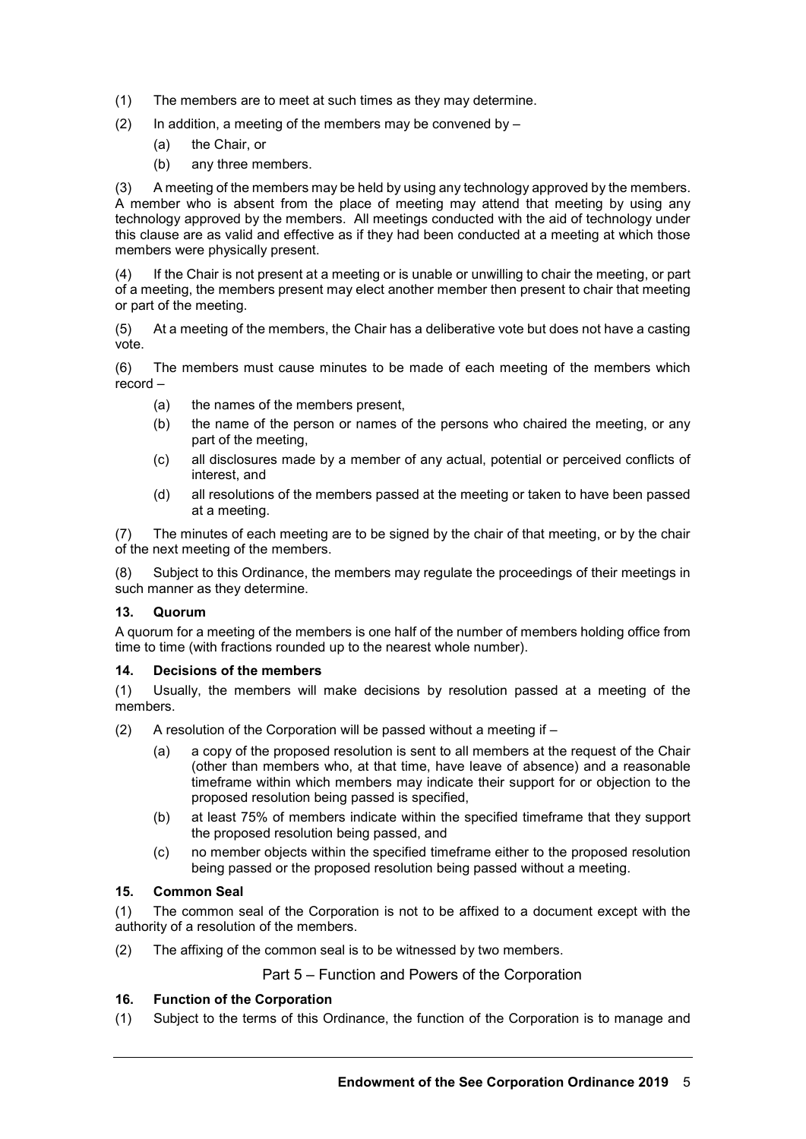- (1) The members are to meet at such times as they may determine.
- (2) In addition, a meeting of the members may be convened by  $-$ 
	- (a) the Chair, or
	- (b) any three members.

(3) A meeting of the members may be held by using any technology approved by the members. A member who is absent from the place of meeting may attend that meeting by using any technology approved by the members. All meetings conducted with the aid of technology under this clause are as valid and effective as if they had been conducted at a meeting at which those members were physically present.

(4) If the Chair is not present at a meeting or is unable or unwilling to chair the meeting, or part of a meeting, the members present may elect another member then present to chair that meeting or part of the meeting.

(5) At a meeting of the members, the Chair has a deliberative vote but does not have a casting vote.

(6) The members must cause minutes to be made of each meeting of the members which record –

- (a) the names of the members present,
- (b) the name of the person or names of the persons who chaired the meeting, or any part of the meeting,
- (c) all disclosures made by a member of any actual, potential or perceived conflicts of interest, and
- (d) all resolutions of the members passed at the meeting or taken to have been passed at a meeting.

(7) The minutes of each meeting are to be signed by the chair of that meeting, or by the chair of the next meeting of the members.

(8) Subject to this Ordinance, the members may regulate the proceedings of their meetings in such manner as they determine.

#### **13. Quorum**

A quorum for a meeting of the members is one half of the number of members holding office from time to time (with fractions rounded up to the nearest whole number).

#### **14. Decisions of the members**

(1) Usually, the members will make decisions by resolution passed at a meeting of the members.

- (2) A resolution of the Corporation will be passed without a meeting if  $-$ 
	- (a) a copy of the proposed resolution is sent to all members at the request of the Chair (other than members who, at that time, have leave of absence) and a reasonable timeframe within which members may indicate their support for or objection to the proposed resolution being passed is specified,
	- (b) at least 75% of members indicate within the specified timeframe that they support the proposed resolution being passed, and
	- (c) no member objects within the specified timeframe either to the proposed resolution being passed or the proposed resolution being passed without a meeting.

#### **15. Common Seal**

(1) The common seal of the Corporation is not to be affixed to a document except with the authority of a resolution of the members.

(2) The affixing of the common seal is to be witnessed by two members.

# Part 5 – Function and Powers of the Corporation

# **16. Function of the Corporation**

(1) Subject to the terms of this Ordinance, the function of the Corporation is to manage and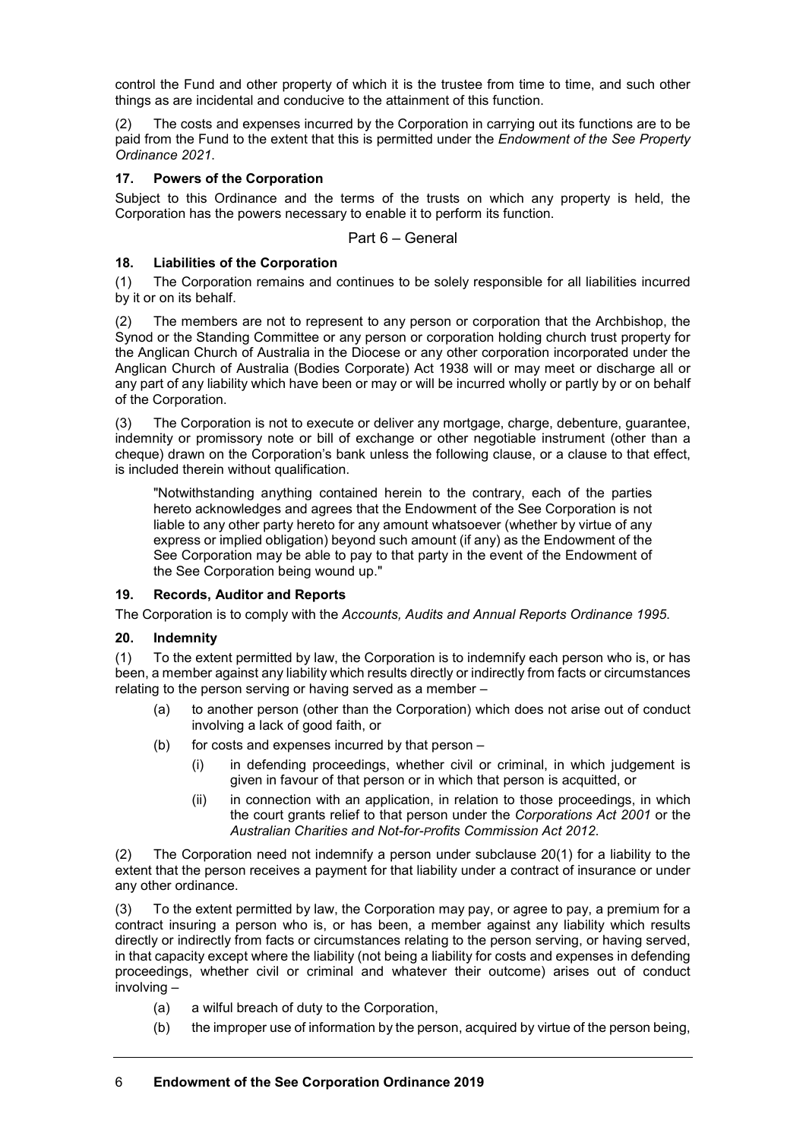control the Fund and other property of which it is the trustee from time to time, and such other things as are incidental and conducive to the attainment of this function.

(2) The costs and expenses incurred by the Corporation in carrying out its functions are to be paid from the Fund to the extent that this is permitted under the *Endowment of the See Property Ordinance 2021*.

# **17. Powers of the Corporation**

Subject to this Ordinance and the terms of the trusts on which any property is held, the Corporation has the powers necessary to enable it to perform its function.

Part 6 – General

# **18. Liabilities of the Corporation**

(1) The Corporation remains and continues to be solely responsible for all liabilities incurred by it or on its behalf.

(2) The members are not to represent to any person or corporation that the Archbishop, the Synod or the Standing Committee or any person or corporation holding church trust property for the Anglican Church of Australia in the Diocese or any other corporation incorporated under the Anglican Church of Australia (Bodies Corporate) Act 1938 will or may meet or discharge all or any part of any liability which have been or may or will be incurred wholly or partly by or on behalf of the Corporation.

(3) The Corporation is not to execute or deliver any mortgage, charge, debenture, guarantee, indemnity or promissory note or bill of exchange or other negotiable instrument (other than a cheque) drawn on the Corporation's bank unless the following clause, or a clause to that effect, is included therein without qualification.

"Notwithstanding anything contained herein to the contrary, each of the parties hereto acknowledges and agrees that the Endowment of the See Corporation is not liable to any other party hereto for any amount whatsoever (whether by virtue of any express or implied obligation) beyond such amount (if any) as the Endowment of the See Corporation may be able to pay to that party in the event of the Endowment of the See Corporation being wound up."

# **19. Records, Auditor and Reports**

The Corporation is to comply with the *Accounts, Audits and Annual Reports Ordinance 1995*.

# **20. Indemnity**

(1) To the extent permitted by law, the Corporation is to indemnify each person who is, or has been, a member against any liability which results directly or indirectly from facts or circumstances relating to the person serving or having served as a member –

- (a) to another person (other than the Corporation) which does not arise out of conduct involving a lack of good faith, or
- (b) for costs and expenses incurred by that person
	- (i) in defending proceedings, whether civil or criminal, in which judgement is given in favour of that person or in which that person is acquitted, or
	- (ii) in connection with an application, in relation to those proceedings, in which the court grants relief to that person under the *Corporations Act 2001* or the *Australian Charities and Not-for-Profits Commission Act 2012*.

(2) The Corporation need not indemnify a person under subclause 20(1) for a liability to the extent that the person receives a payment for that liability under a contract of insurance or under any other ordinance.

(3) To the extent permitted by law, the Corporation may pay, or agree to pay, a premium for a contract insuring a person who is, or has been, a member against any liability which results directly or indirectly from facts or circumstances relating to the person serving, or having served, in that capacity except where the liability (not being a liability for costs and expenses in defending proceedings, whether civil or criminal and whatever their outcome) arises out of conduct involving –

- (a) a wilful breach of duty to the Corporation,
- (b) the improper use of information by the person, acquired by virtue of the person being,